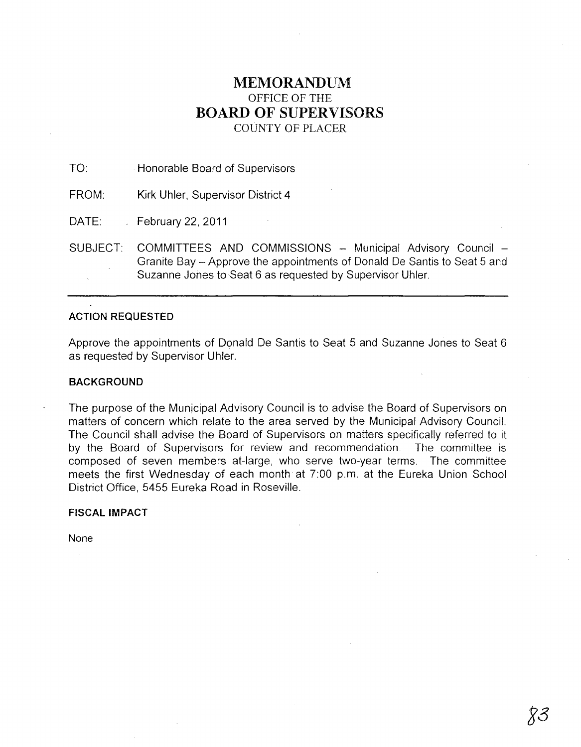# **MEMORANDUM**  OFFICE OF THE **BOARD OF SUPERVISORS**  COUNTY OF PLACER

TO: Honorable Board of Supervisors

FROM: Kirk Uhler, Supervisor District 4

DATE: February 22, 2011

SUBJECT: COMMITTEES AND COMMISSIONS - Municipal Advisory Council -Granite Bay - Approve the appointments of Donald De Santis to Seat 5 and Suzanne Jones to Seat 6 as requested by Supervisor Uhler.

# **ACTION REQUESTED**

Approve the appointments of Donald De Santis to Seat 5 and Suzanne Jones to Seat 6 as requested by Supervisor Uhler.

## **BACKGROUND**

The purpose of the Municipal Advisory Council is to advise the Board of Supervisors on matters of concern which relate to the area served by the Municipal Advisory Council. The Council shall advise the Board of Supervisors on matters specifically referred to it by the Board of Supervisors for review and recommendation. The committee is composed of seven members at-large, who serve two-year terms. The committee meets the first Wednesday of each month at 7:00 p.m. at the Eureka Union School District Office, 5455 Eureka Road in Roseville.

## **FISCAL IMPACT**

None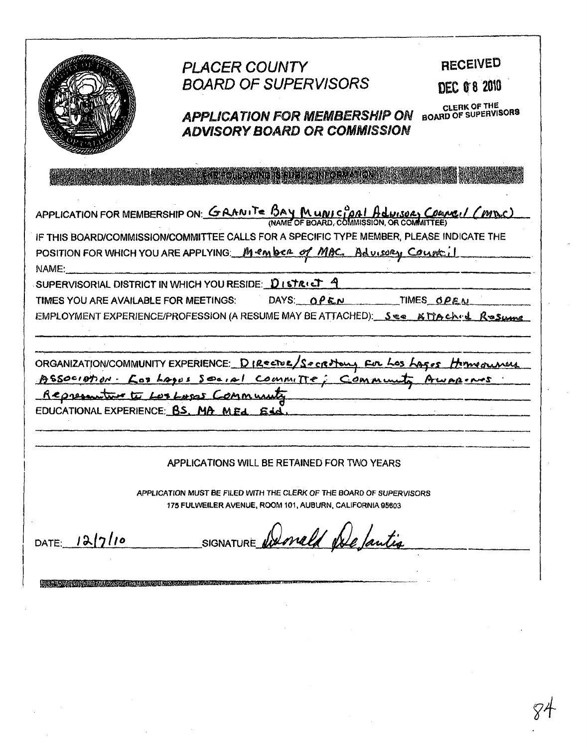|                                                                                                                                                                                                                                                         | <b>PLACER COUNTY</b><br><b>BOARD OF SUPERVISORS</b><br><b>APPLICATION FOR MEMBERSHIP ON</b><br><b>ADVISORY BOARD OR COMMISSION</b>                                                                                                     | <b>RECEIVED</b><br><b>DEC 0 8 2010</b><br>CLERK OF THE<br><b>BOARD OF SUPERVISORS</b> |
|---------------------------------------------------------------------------------------------------------------------------------------------------------------------------------------------------------------------------------------------------------|----------------------------------------------------------------------------------------------------------------------------------------------------------------------------------------------------------------------------------------|---------------------------------------------------------------------------------------|
|                                                                                                                                                                                                                                                         |                                                                                                                                                                                                                                        |                                                                                       |
| APPLICATION FOR MEMBERSHIP ON: GRANITE BAY MUNICIPAL Advises Council (MDC)<br>IF THIS BOARD/COMMISSION/COMMITTEE CALLS FOR A SPECIFIC TYPE MEMBER, PLEASE INDICATE THE<br>POSITION FOR WHICH YOU ARE APPLYING Member of MAC, Advisory Count il<br>NAME: |                                                                                                                                                                                                                                        |                                                                                       |
| SUPERVISORIAL DISTRICT IN WHICH YOU RESIDE: $\mathcal{D}_1$ struct $\mathcal{A}$<br>DAYS: $OPEN$<br>TIMES YOU ARE AVAILABLE FOR MEETINGS:<br>TIMESOPEN<br>EMPLOYMENT EXPERIENCE/PROFESSION (A RESUME MAY BE ATTACHED): See & MACh(d. Rosume             |                                                                                                                                                                                                                                        |                                                                                       |
| ORGANIZATION/COMMUNITY EXPERIENCE: DIRECTUR/Secretions Fur Los Lages<br>ASSOCIATION · LOS LAGUS SOCIAL COMMITTE: COMMUN                                                                                                                                 |                                                                                                                                                                                                                                        |                                                                                       |
| Representant to Los Laps Community<br>EDUCATIONAL EXPERIENCE: BS. MA MEA                                                                                                                                                                                |                                                                                                                                                                                                                                        |                                                                                       |
|                                                                                                                                                                                                                                                         | APPLICATIONS WILL BE RETAINED FOR TWO YEARS                                                                                                                                                                                            |                                                                                       |
| APPLICATION MUST BE FILED WITH THE CLERK OF THE BOARD OF SUPERVISORS<br>175 FULWEILER AVENUE, ROOM 101, AUBURN, CALIFORNIA 95603                                                                                                                        |                                                                                                                                                                                                                                        |                                                                                       |
| 12/7/10<br>DATE:                                                                                                                                                                                                                                        | donald Nale 1.<br>SIGNATURE                                                                                                                                                                                                            |                                                                                       |
|                                                                                                                                                                                                                                                         | <u> La propincia de la propincia de la propincia de la propincia de la propincia de la propincia de la propincia d</u><br>La propincia de la propincia de la propincia de la propincia de la propincia de la propincia de la propincia |                                                                                       |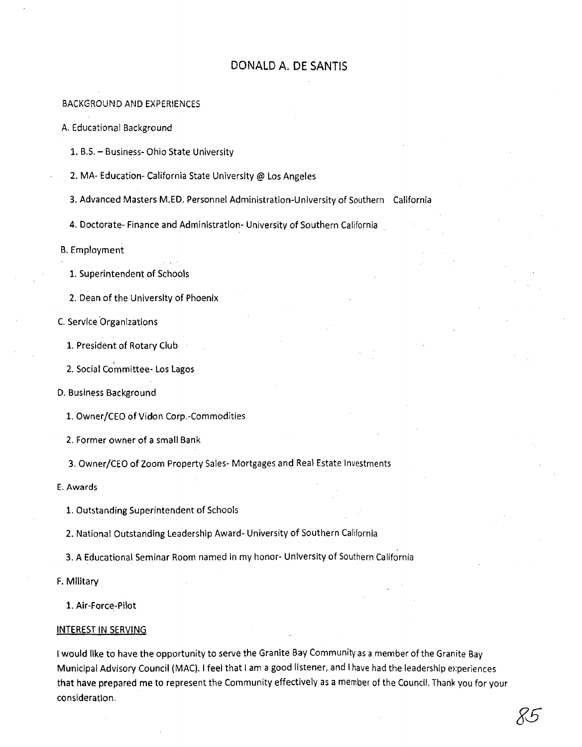# DONALD A. DE SANTIS

## BACKGROUND AND EXPER1ENCES

A. Educational Background

1. B,S. - Business- Ohio State University

2. MA- Education- California State University @ Los Angeles

3. Advanced Masters M.ED. Personnel Administration-University of Southern California

4. Doctorate- Finance and Adminlstratlon- University of Southern California

B. Employment

1. Superintendent of Schools

2. Dean of the University of Phoenix

C. Service 'Organlzatlons

1. President of Rotary Club

2. Social Committee- Los Lagos

D. Business Background

1. Owner/CEO of Vidon Corp.-Commodities

2. Former owner of a small Bank

3. Owner/CEO of Zoom Property Sales- Mortgages and Real Estate Investments

E. Awards

1. Outstanding Superintendent of Schools

2. National Outstanding Leadership Award- University of Southern California

3. A Educational Seminar Room named In my honor- University of Southern California

F. Military

1. Air-Force-Pilot

#### INTEREST IN SERVING

I would like to have the opportunity to serve the Granite Bay Community as a member of the Granite Bay Municipal Advisory Council (MAC). I feel that I am a good listener, and I have had the leadership experiences that have prepared me to represent the Community effectively as a member of the Council. Thank you for your consideration.

gs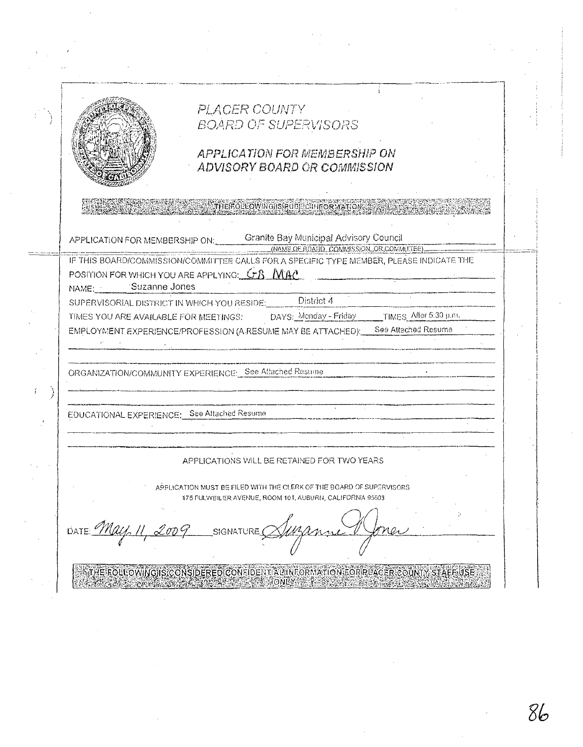

# PLACER COUNTY **BOARD OF SUPERVISORS**

THE ROLLOWING IS RUBLED IT OR YA

# **APPLICATION FOR MEMBERSHIP ON** ADVISORY BOARD OR COMMISSION

Granite Bay Municipal Advisory Council APPLICATION FOR MEMBERSHIP ON: (NAME OF ROABD, COMMISSION, OR COMMUTEE)

IF THIS BOARD/COMMISSION/COMMITTEE CALLS FOR A SPECIFIC TYPE MEMBER, PLEASE INDICATE THE POSITION FOR WHICH YOU ARE APPLYING:  $G$  $\beta$  *N* $A$ <sup> $\alpha$ </sup>

NAME: Suzanne Jones

Ť

SUPERVISORIAL DISTRICT IN WHICH YOU RESIDE:

DAYS: Menday - Friday

District 4

TIMES YOU ARE AVAILABLE FOR MEETINGS: TIMES After 5:30 p.m. See Attached Resume EMPLOYMENT EXPERIENCE/PROFESSION (A RESUME MAY BE ATTACHED):

ORGANIZATION/COMMUNITY EXPERIENCE: See Attached Resume

EDUCATIONAL EXPERIENCE: See Attached Resume

# APPLICATIONS WILL BE RETAINED FOR TWO YEARS

APPLICATION MUST BE FILED WITH THE CLERK OF THE BOARD OF SUPERVISORS 175 FULWEILER AVENUE, ROOM 101, AUBURN, CALIFORNIA 95603

DATE: May **SIGNATURE** 

THE FOLLOWING IS CONSIDERED CONFIDENT ALL INFORMATION FOR REACER COUNTY STAFF USE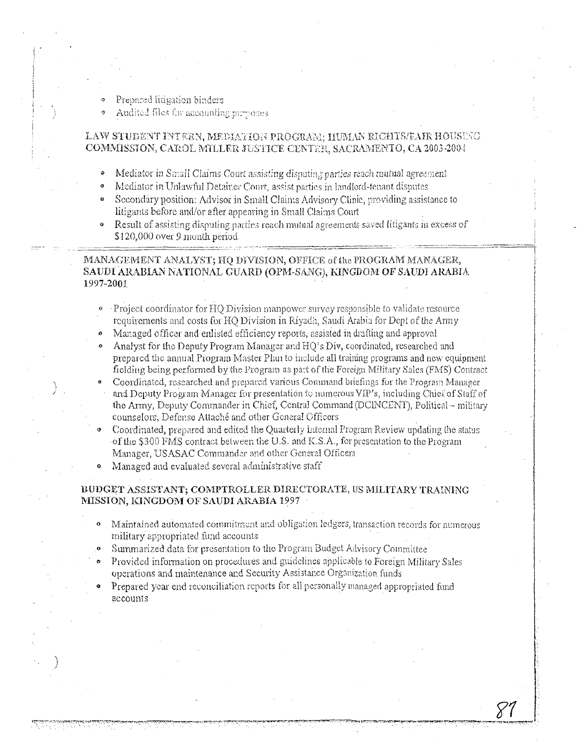- Prepared litigation binders
- Audited files for accounting purposes

## LAW STUDENT INTERN, MEDIATION PROGRAM; HUMAN RIGHTS/FAIR HOUSENO COMMISSION, CAROL MILLER JUSTICE CENTER, SACRAMENTO, CA 2003-2004

- Mediator in Small Claims Court assisting disputing parties reach mutual agreement
- Mediator in Unlawful Detainer Court, assist parties in landlord-tenant disputes
- $\bullet$ Secondary position: Advisor in Small Claims Advisory Clinic, providing assistance to litigants before and/or after appearing in Small Claims Court
- $\bullet$ Result of assisting disputing parties reach mutual agreements saved litigants in excess of \$120,000 over 9 month period.

## MANAGEMENT ANALYST; HO DIVISION, OFFICE of the PROGRAM MANAGER, SAUDI ARABIAN NATIONAL GUARD (OPM-SANG), KINGDOM OF SAUDI ARABIA 1997-2001

- Project coordinator for HQ Division manpower survey responsible to validate resource requirements and costs for HQ Division in Riyadh, Saudi Arabia for Dept of the Army
- Mariaged officer and enlisted efficiency reports, assisted in drafting and approval
- Analyst for the Deputy Program Manager and HO's Div, coordinated, researched and prepared the annual Program Master Plan to include all training programs and now equipment fielding being performed by the Program as part of the Foreign Military Sales (FMS) Contract
- Coordinated, researched and prepared various Command briefings for the Program Manager and Deputy Program Manager for presentation to numerous VIP's, including Chief of Staff of the Army, Deputy Commander in Chief, Central Command (DCINCENT), Political - military counselors, Defense Attaché and other General Officers
- Coordinated, prepared and edited the Quarterly Internal Program Review undating the status of the \$300 FMS contract between the U.S. and K.S.A., for presentation to the Program Manager, USASAC Commander and other General Officers
- Managed and evaluated several administrative staff  $\mathbf{o}$

## BUDGET ASSISTANT; COMPTROLLER DIRECTORATE, US MILITARY TRAINING MISSION, KINGDOM OF SAUDI ARABIA 1997

- Maintained automated commitment and obligation ledgers, transaction records for numerous military appropriated fund accounts
- Summarized data for presentation to the Program Budget Advisory Committee
- Provided information on procedures and guidelines applicable to Foreign Military Sales operations and maintenance and Security Assistance Organization funds
- Prepared year end reconciliation reports for all personally managed appropriated fund accounts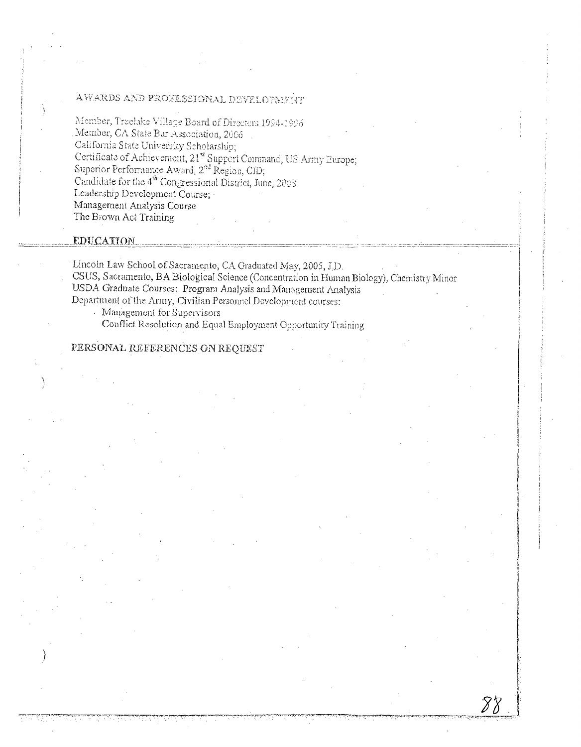# AWARDS AND PROFESSIONAL DEVELOPMENT

Member, Treelake Village Board of Directors 1994-1996 Member, CA State Bar Association, 2006 California State University Scholarship; Certificate of Achievement, 21<sup>st</sup> Support Command, US Army Europe;<br>Superior Performance Award, 2<sup>nd</sup> Region, CID; Candidate for the  $4<sup>th</sup>$  Congressional District, June, 2003 Leadership Development Course; Management Analysis Course The Brown Act Training

## **EDUCATION**

Lincoln Law School of Sacramento, CA Graduated May, 2005, J.D. CSUS, Sacramento, BA Biological Science (Concentration in Human Biology), Chemistry Minor USDA Graduate Courses: Program Analysis and Management Analysis Department of the Army, Civilian Personnel Development courses:

Management for Supervisors

Conflict Resolution and Equal Employment Opportunity Training

# PERSONAL REFERENCES ON REQUEST